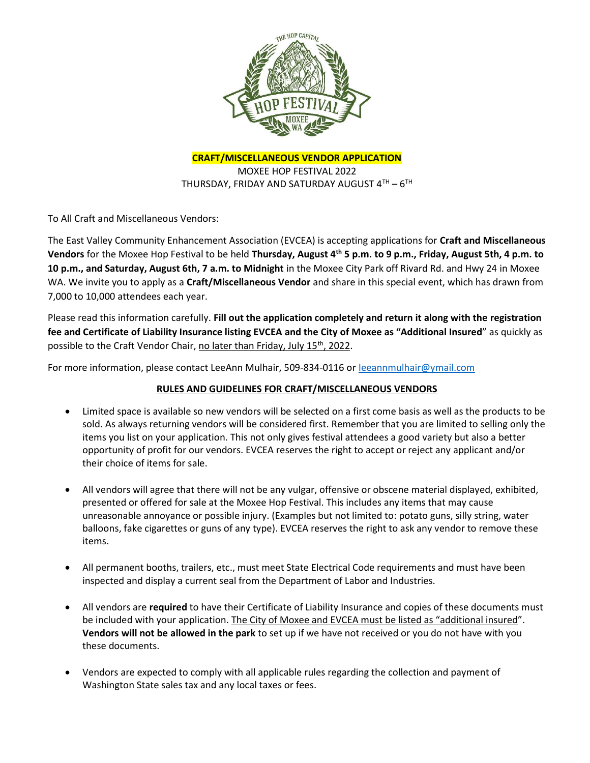

CRAFT/MISCELLANEOUS VENDOR APPLICATION

MOXEE HOP FESTIVAL 2022 THURSDAY, FRIDAY AND SATURDAY AUGUST  $4^{\text{TH}}$  –  $6^{\text{TH}}$ 

To All Craft and Miscellaneous Vendors:

The East Valley Community Enhancement Association (EVCEA) is accepting applications for Craft and Miscellaneous Vendors for the Moxee Hop Festival to be held Thursday, August 4<sup>th</sup> 5 p.m. to 9 p.m., Friday, August 5th, 4 p.m. to 10 p.m., and Saturday, August 6th, 7 a.m. to Midnight in the Moxee City Park off Rivard Rd. and Hwy 24 in Moxee WA. We invite you to apply as a Craft/Miscellaneous Vendor and share in this special event, which has drawn from 7,000 to 10,000 attendees each year.

Please read this information carefully. Fill out the application completely and return it along with the registration fee and Certificate of Liability Insurance listing EVCEA and the City of Moxee as "Additional Insured" as quickly as possible to the Craft Vendor Chair, no later than Friday, July 15<sup>th</sup>, 2022.

For more information, please contact LeeAnn Mulhair, 509-834-0116 or leeannmulhair@ymail.com

### RULES AND GUIDELINES FOR CRAFT/MISCELLANEOUS VENDORS

- Limited space is available so new vendors will be selected on a first come basis as well as the products to be sold. As always returning vendors will be considered first. Remember that you are limited to selling only the items you list on your application. This not only gives festival attendees a good variety but also a better opportunity of profit for our vendors. EVCEA reserves the right to accept or reject any applicant and/or their choice of items for sale.
- All vendors will agree that there will not be any vulgar, offensive or obscene material displayed, exhibited, presented or offered for sale at the Moxee Hop Festival. This includes any items that may cause unreasonable annoyance or possible injury. (Examples but not limited to: potato guns, silly string, water balloons, fake cigarettes or guns of any type). EVCEA reserves the right to ask any vendor to remove these items.
- All permanent booths, trailers, etc., must meet State Electrical Code requirements and must have been inspected and display a current seal from the Department of Labor and Industries.
- All vendors are required to have their Certificate of Liability Insurance and copies of these documents must be included with your application. The City of Moxee and EVCEA must be listed as "additional insured". Vendors will not be allowed in the park to set up if we have not received or you do not have with you these documents.
- Vendors are expected to comply with all applicable rules regarding the collection and payment of Washington State sales tax and any local taxes or fees.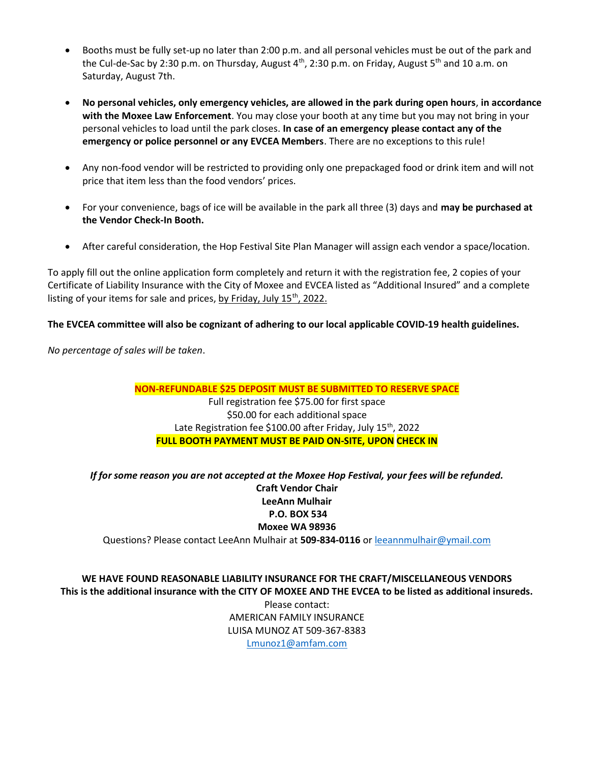- Booths must be fully set-up no later than 2:00 p.m. and all personal vehicles must be out of the park and the Cul-de-Sac by 2:30 p.m. on Thursday, August  $4<sup>th</sup>$ , 2:30 p.m. on Friday, August  $5<sup>th</sup>$  and 10 a.m. on Saturday, August 7th.
- No personal vehicles, only emergency vehicles, are allowed in the park during open hours, in accordance with the Moxee Law Enforcement. You may close your booth at any time but you may not bring in your personal vehicles to load until the park closes. In case of an emergency please contact any of the emergency or police personnel or any EVCEA Members. There are no exceptions to this rule!
- Any non-food vendor will be restricted to providing only one prepackaged food or drink item and will not price that item less than the food vendors' prices.
- For your convenience, bags of ice will be available in the park all three (3) days and may be purchased at the Vendor Check-In Booth.
- After careful consideration, the Hop Festival Site Plan Manager will assign each vendor a space/location.

To apply fill out the online application form completely and return it with the registration fee, 2 copies of your Certificate of Liability Insurance with the City of Moxee and EVCEA listed as "Additional Insured" and a complete listing of your items for sale and prices, by Friday, July  $15<sup>th</sup>$ , 2022.

### The EVCEA committee will also be cognizant of adhering to our local applicable COVID-19 health guidelines.

No percentage of sales will be taken.

# NON-REFUNDABLE \$25 DEPOSIT MUST BE SUBMITTED TO RESERVE SPACE Full registration fee \$75.00 for first space \$50.00 for each additional space Late Registration fee \$100.00 after Friday, July 15<sup>th</sup>, 2022 FULL BOOTH PAYMENT MUST BE PAID ON-SITE, UPON CHECK IN

If for some reason you are not accepted at the Moxee Hop Festival, your fees will be refunded. Craft Vendor Chair LeeAnn Mulhair P.O. BOX 534 Moxee WA 98936 Questions? Please contact LeeAnn Mulhair at 509-834-0116 or leeannmulhair@ymail.com

## WE HAVE FOUND REASONABLE LIABILITY INSURANCE FOR THE CRAFT/MISCELLANEOUS VENDORS This is the additional insurance with the CITY OF MOXEE AND THE EVCEA to be listed as additional insureds.

Please contact: AMERICAN FAMILY INSURANCE LUISA MUNOZ AT 509-367-8383 Lmunoz1@amfam.com